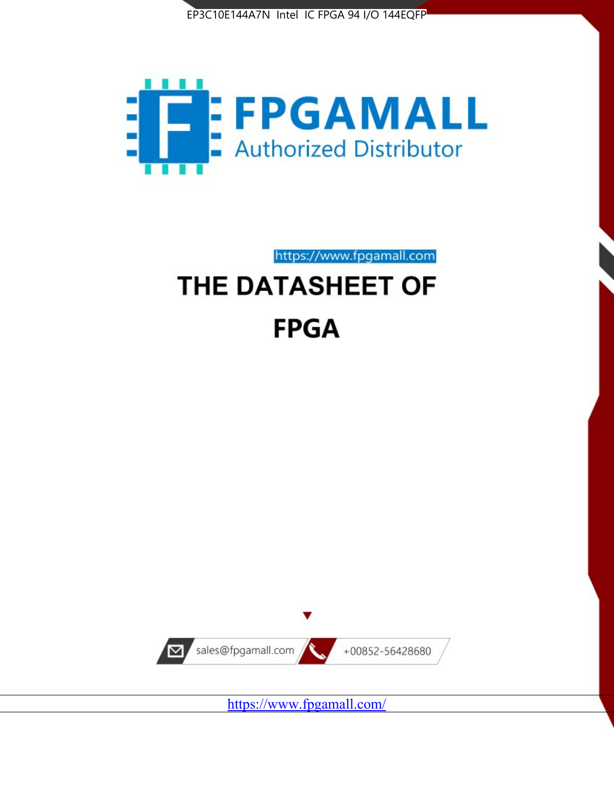



https://www.fpgamall.com

# THE DATASHEET OF **FPGA**



<https://www.fpgamall.com/>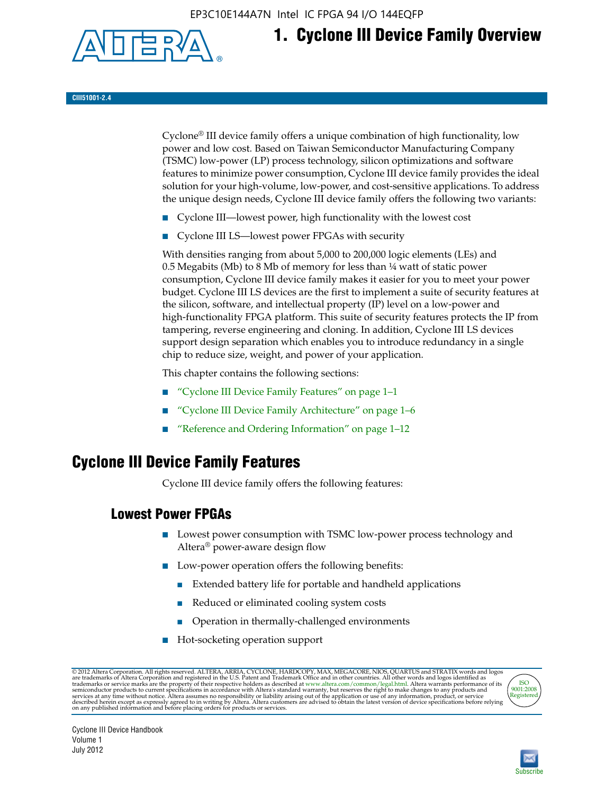EP3C10E144A7N Intel IC FPGA 94 I/O 144EQFP



## **1. Cyclone III Device Family Overview**

#### **CIII51001-2.4**

Cyclone® III device family offers a unique combination of high functionality, low power and low cost. Based on Taiwan Semiconductor Manufacturing Company (TSMC) low-power (LP) process technology, silicon optimizations and software features to minimize power consumption, Cyclone III device family provides the ideal solution for your high-volume, low-power, and cost-sensitive applications. To address the unique design needs, Cyclone III device family offers the following two variants:

- Cyclone III—lowest power, high functionality with the lowest cost
- Cyclone III LS—lowest power FPGAs with security

With densities ranging from about 5,000 to 200,000 logic elements (LEs) and 0.5 Megabits (Mb) to 8 Mb of memory for less than  $\frac{1}{4}$  watt of static power consumption, Cyclone III device family makes it easier for you to meet your power budget. Cyclone III LS devices are the first to implement a suite of security features at the silicon, software, and intellectual property (IP) level on a low-power and high-functionality FPGA platform. This suite of security features protects the IP from tampering, reverse engineering and cloning. In addition, Cyclone III LS devices support design separation which enables you to introduce redundancy in a single chip to reduce size, weight, and power of your application.

This chapter contains the following sections:

- "Cyclone III Device Family Features" on page 1–1
- "Cyclone III Device Family Architecture" on page 1–6
- "Reference and Ordering Information" on page 1–12

## **Cyclone III Device Family Features**

Cyclone III device family offers the following features:

#### **Lowest Power FPGAs**

- Lowest power consumption with TSMC low-power process technology and Altera® power-aware design flow
- Low-power operation offers the following benefits:
	- Extended battery life for portable and handheld applications
	- Reduced or eliminated cooling system costs
	- Operation in thermally-challenged environments
- Hot-socketing operation support

@ 2012 Altera Corporation. All rights reserved. ALTERA, ARRIA, CYCLONE, HARDCOPY, MAX, MEGACORE, NIOS, QUARTUS and STRATIX words and logos are trademarks of Altera Corporation and registered in the U.S. Patent and Trademar



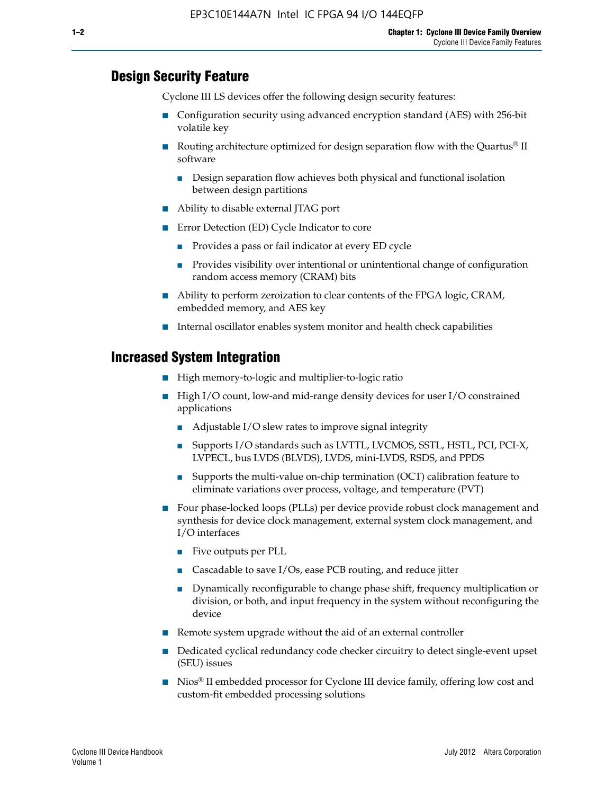#### **Design Security Feature**

Cyclone III LS devices offer the following design security features:

- Configuration security using advanced encryption standard (AES) with 256-bit volatile key
- **■** Routing architecture optimized for design separation flow with the Quartus<sup>®</sup> II software
	- Design separation flow achieves both physical and functional isolation between design partitions
- Ability to disable external JTAG port
- Error Detection (ED) Cycle Indicator to core
	- Provides a pass or fail indicator at every ED cycle
	- Provides visibility over intentional or unintentional change of configuration random access memory (CRAM) bits
- Ability to perform zeroization to clear contents of the FPGA logic, CRAM, embedded memory, and AES key
- Internal oscillator enables system monitor and health check capabilities

#### **Increased System Integration**

- High memory-to-logic and multiplier-to-logic ratio
- High I/O count, low-and mid-range density devices for user I/O constrained applications
	- Adjustable I/O slew rates to improve signal integrity
	- Supports I/O standards such as LVTTL, LVCMOS, SSTL, HSTL, PCI, PCI-X, LVPECL, bus LVDS (BLVDS), LVDS, mini-LVDS, RSDS, and PPDS
	- Supports the multi-value on-chip termination (OCT) calibration feature to eliminate variations over process, voltage, and temperature (PVT)
- Four phase-locked loops (PLLs) per device provide robust clock management and synthesis for device clock management, external system clock management, and I/O interfaces
	- Five outputs per PLL
	- Cascadable to save I/Os, ease PCB routing, and reduce jitter
	- Dynamically reconfigurable to change phase shift, frequency multiplication or division, or both, and input frequency in the system without reconfiguring the device
- Remote system upgrade without the aid of an external controller
- Dedicated cyclical redundancy code checker circuitry to detect single-event upset (SEU) issues
- Nios<sup>®</sup> II embedded processor for Cyclone III device family, offering low cost and custom-fit embedded processing solutions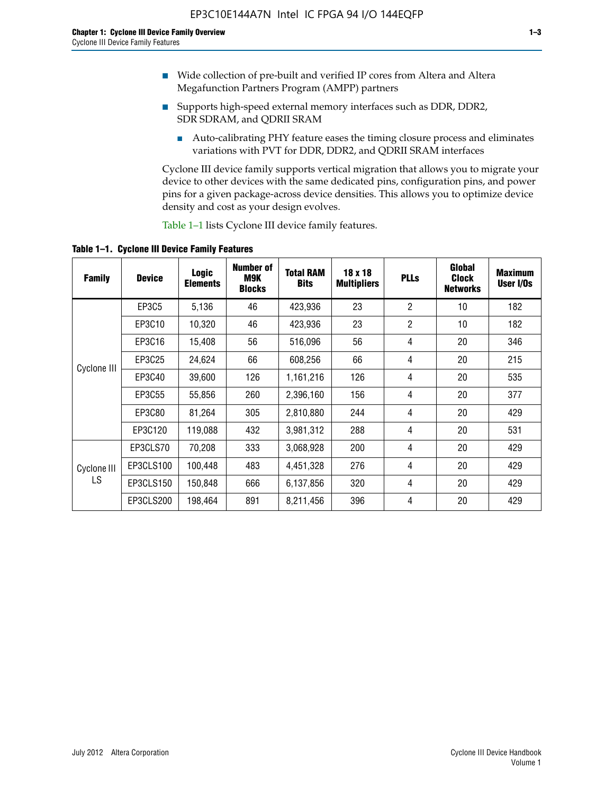- Wide collection of pre-built and verified IP cores from Altera and Altera Megafunction Partners Program (AMPP) partners
- Supports high-speed external memory interfaces such as DDR, DDR2, SDR SDRAM, and QDRII SRAM
	- Auto-calibrating PHY feature eases the timing closure process and eliminates variations with PVT for DDR, DDR2, and QDRII SRAM interfaces

Cyclone III device family supports vertical migration that allows you to migrate your device to other devices with the same dedicated pins, configuration pins, and power pins for a given package-across device densities. This allows you to optimize device density and cost as your design evolves.

Table 1–1 lists Cyclone III device family features.

**Table 1–1. Cyclone III Device Family Features**

| <b>Family</b> | <b>Device</b> | <b>Logic</b><br><b>Elements</b> | Number of<br>M9K<br><b>Blocks</b> | <b>Total RAM</b><br><b>Bits</b> | 18 x 18<br><b>Multipliers</b> | <b>PLLs</b>    | Global<br><b>Clock</b><br><b>Networks</b> | <b>Maximum</b><br>User I/Os |
|---------------|---------------|---------------------------------|-----------------------------------|---------------------------------|-------------------------------|----------------|-------------------------------------------|-----------------------------|
|               | <b>EP3C5</b>  | 5,136                           | 46                                | 423,936                         | 23                            | $\overline{2}$ | 10                                        | 182                         |
|               | EP3C10        | 10,320                          | 46                                | 423,936                         | 23                            | $\overline{2}$ | 10                                        | 182                         |
|               | EP3C16        | 15,408                          | 56                                | 516,096                         | 56                            | 4              | 20                                        | 346                         |
| Cyclone III   | EP3C25        | 24,624                          | 66                                | 608,256                         | 66                            | 4              | 20                                        | 215                         |
|               | EP3C40        | 39,600                          | 126                               | 1,161,216                       | 126                           | 4              | 20                                        | 535                         |
|               | EP3C55        | 55,856                          | 260                               | 2,396,160                       | 156                           | 4              | 20                                        | 377                         |
|               | EP3C80        | 81,264                          | 305                               | 2,810,880                       | 244                           | 4              | 20                                        | 429                         |
|               | EP3C120       | 119,088                         | 432                               | 3,981,312                       | 288                           | 4              | 20                                        | 531                         |
|               | EP3CLS70      | 70,208                          | 333                               | 3,068,928                       | 200                           | 4              | 20                                        | 429                         |
| Cyclone III   | EP3CLS100     | 100,448                         | 483                               | 4,451,328                       | 276                           | 4              | 20                                        | 429                         |
| LS            | EP3CLS150     | 150,848                         | 666                               | 6,137,856                       | 320                           | 4              | 20                                        | 429                         |
|               | EP3CLS200     | 198,464                         | 891                               | 8,211,456                       | 396                           | 4              | 20                                        | 429                         |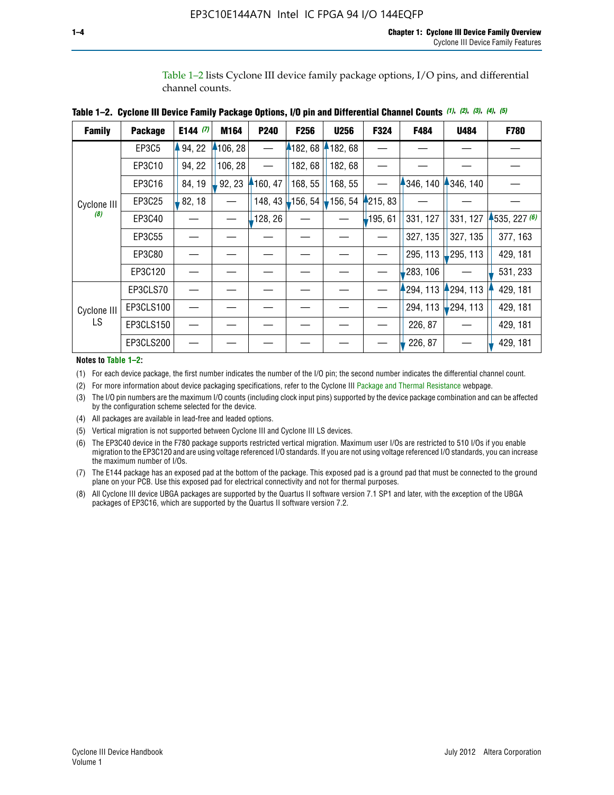Table 1–2 lists Cyclone III device family package options, I/O pins, and differential channel counts.

| Table 1–2.  Cyclone III Device Family Package Options, I/O pin and Differential Channel Counts (1), (2), (3), (4), (5) |
|------------------------------------------------------------------------------------------------------------------------|
|                                                                                                                        |

| <b>Family</b> | <b>Package</b> | E144 $(7)$ | M164     | P240    | <b>F256</b> | <b>U256</b> | F324    | F484     | U484        | F780           |
|---------------|----------------|------------|----------|---------|-------------|-------------|---------|----------|-------------|----------------|
|               | EP3C5          | 94, 22     | 4106, 28 |         | 182, 68     | 182,68      |         |          |             |                |
|               | EP3C10         | 94, 22     | 106, 28  |         | 182, 68     | 182, 68     |         |          |             |                |
|               | EP3C16         | 84, 19     | 92, 23   | 160, 47 | 168, 55     | 168, 55     |         | 346, 140 | 4346, 140   |                |
| Cyclone III   | EP3C25         | 82, 18     |          | 148, 43 | 156, 54     | 156, 54     | 215, 83 |          |             |                |
| (8)           | EP3C40         |            |          | 128, 26 |             |             | 195, 61 | 331, 127 | 331, 127    | $+535, 227(6)$ |
|               | EP3C55         |            |          |         |             |             |         | 327, 135 | 327, 135    | 377, 163       |
|               | EP3C80         |            |          |         |             |             |         | 295, 113 | ,295, 113   | 429, 181       |
|               | EP3C120        |            |          |         |             |             |         | 283, 106 |             | 531, 233       |
|               | EP3CLS70       |            |          |         |             |             |         | 294, 113 | 4294, 113   | 429, 181       |
| Cyclone III   | EP3CLS100      |            |          |         |             |             |         | 294, 113 | $-294, 113$ | 429, 181       |
| LS            | EP3CLS150      |            |          |         |             |             |         | 226, 87  |             | 429, 181       |
|               | EP3CLS200      |            |          |         |             |             |         | 226, 87  |             | 429, 181       |

**Notes to Table 1–2:**

(1) For each device package, the first number indicates the number of the I/O pin; the second number indicates the differential channel count.

(2) For more information about device packaging specifications, refer to the Cyclone III [Package and Thermal Resistance](http://www.altera.com/support/devices/packaging/specifications/pkg-pin/dev-package-listing.jsp?device=Cyclone_III) webpage.

(3) The I/O pin numbers are the maximum I/O counts (including clock input pins) supported by the device package combination and can be affected by the configuration scheme selected for the device.

(4) All packages are available in lead-free and leaded options.

(5) Vertical migration is not supported between Cyclone III and Cyclone III LS devices.

(6) The EP3C40 device in the F780 package supports restricted vertical migration. Maximum user I/Os are restricted to 510 I/Os if you enable migration to the EP3C120 and are using voltage referenced I/O standards. If you are not using voltage referenced I/O standards, you can increase the maximum number of I/Os.

(7) The E144 package has an exposed pad at the bottom of the package. This exposed pad is a ground pad that must be connected to the ground plane on your PCB. Use this exposed pad for electrical connectivity and not for thermal purposes.

(8) All Cyclone III device UBGA packages are supported by the Quartus II software version 7.1 SP1 and later, with the exception of the UBGA packages of EP3C16, which are supported by the Quartus II software version 7.2.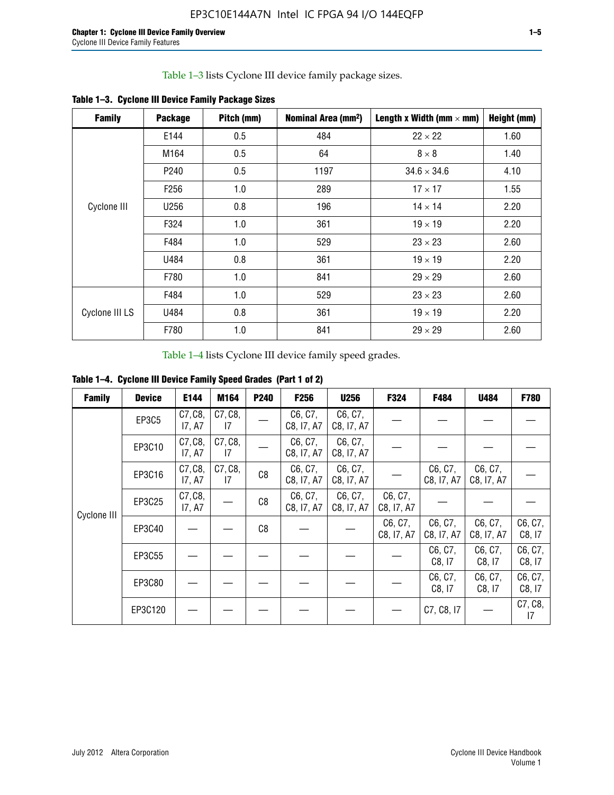Table 1–3 lists Cyclone III device family package sizes.

| <b>Family</b>  | <b>Package</b>   | Pitch (mm) | Nominal Area (mm <sup>2</sup> ) | Length x Width (mm $\times$ mm) | Height (mm) |
|----------------|------------------|------------|---------------------------------|---------------------------------|-------------|
|                | E144             | 0.5        | 484                             | $22 \times 22$                  | 1.60        |
|                | M164             | 0.5        | 64                              | $8 \times 8$                    | 1.40        |
|                | P <sub>240</sub> | 0.5        | 1197                            | $34.6 \times 34.6$              | 4.10        |
|                | F <sub>256</sub> | 1.0        | 289                             | $17 \times 17$                  | 1.55        |
| Cyclone III    | U256             | 0.8        | 196                             | $14 \times 14$                  | 2.20        |
|                | F324             | 1.0        | 361                             | $19 \times 19$                  | 2.20        |
|                | F484             | 1.0        | 529                             | $23 \times 23$                  | 2.60        |
|                | U484             | 0.8        | 361                             | $19 \times 19$                  | 2.20        |
|                | F780             | 1.0        | 841                             | $29 \times 29$                  | 2.60        |
|                | F484             | 1.0        | 529                             | $23 \times 23$                  | 2.60        |
| Cyclone III LS | U484             | 0.8        | 361                             | $19 \times 19$                  | 2.20        |
|                | F780             | 1.0        | 841                             | $29 \times 29$                  | 2.60        |

**Table 1–3. Cyclone III Device Family Package Sizes**

Table 1–4 lists Cyclone III device family speed grades.

**Table 1–4. Cyclone III Device Family Speed Grades (Part 1 of 2)**

| <b>Family</b> | <b>Device</b> | E144              | M164          | <b>P240</b>    | <b>F256</b>           | <b>U256</b>           | F324                  | F484                  | U484                  | <b>F780</b>       |
|---------------|---------------|-------------------|---------------|----------------|-----------------------|-----------------------|-----------------------|-----------------------|-----------------------|-------------------|
|               | EP3C5         | C7, C8,<br>17, A7 | C7, C8,<br>17 |                | C6, C7,<br>C8, I7, A7 | C6, C7,<br>C8, I7, A7 |                       |                       |                       |                   |
|               | EP3C10        | C7, C8,<br>17, A7 | C7, C8,<br>17 |                | C6, C7,<br>C8, I7, A7 | C6, C7,<br>C8, I7, A7 |                       |                       |                       |                   |
|               | EP3C16        | C7, C8,<br>17, A7 | C7, C8,<br>17 | C <sub>8</sub> | C6, C7,<br>C8, I7, A7 | C6, C7,<br>C8, I7, A7 |                       | C6, C7,<br>C8, I7, A7 | C6, C7,<br>C8, I7, A7 |                   |
| Cyclone III   | EP3C25        | C7, C8,<br>17, A7 |               | C8             | C6, C7,<br>C8, I7, A7 | C6, C7,<br>C8, I7, A7 | C6, C7,<br>C8, I7, A7 |                       |                       |                   |
|               | EP3C40        |                   |               | C8             |                       |                       | C6, C7,<br>C8, I7, A7 | C6, C7,<br>C8, I7, A7 | C6, C7,<br>C8, I7, A7 | C6, C7,<br>C8, 17 |
|               | EP3C55        |                   |               |                |                       |                       |                       | C6, C7,<br>C8, I7     | C6, C7,<br>C8, 17     | C6, C7,<br>C8, 17 |
|               | EP3C80        |                   |               |                |                       |                       |                       | C6, C7,<br>C8, 17     | C6, C7,<br>C8, 17     | C6, C7,<br>C8, 17 |
|               | EP3C120       |                   |               |                |                       |                       |                       | C7, C8, I7            |                       | C7, C8,<br>17     |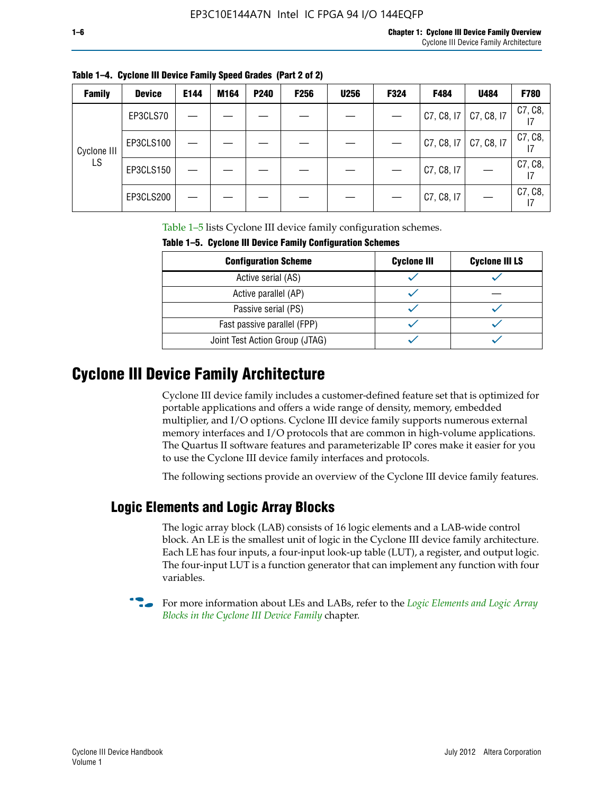| ×<br>۰. |  |  |
|---------|--|--|
|         |  |  |

| <b>Family</b> | <b>Device</b> | E144 | M164 | <b>P240</b> | F <sub>256</sub> | <b>U256</b> | F324 | F484       | U484       | F780          |
|---------------|---------------|------|------|-------------|------------------|-------------|------|------------|------------|---------------|
|               | EP3CLS70      |      |      |             |                  |             |      | C7, C8, I7 | C7, C8, I7 | C7, C8,       |
| Cyclone III   | EP3CLS100     |      |      |             |                  |             |      | C7, C8, I7 | C7, C8, I7 | C7, C8,       |
| LS            | EP3CLS150     |      |      |             |                  |             |      | C7, C8, I7 |            | C7, C8,<br>17 |
|               | EP3CLS200     |      |      |             |                  |             |      | C7, C8, I7 |            | C7, C8,<br>17 |

**Table 1–4. Cyclone III Device Family Speed Grades (Part 2 of 2)**

Table 1–5 lists Cyclone III device family configuration schemes.

| <b>IQUIE 1-3. CYCLUILE III DEVICE FAILIIV CUILILUILATION SCIIENIES</b> |                    |                       |  |  |  |
|------------------------------------------------------------------------|--------------------|-----------------------|--|--|--|
| <b>Configuration Scheme</b>                                            | <b>Cyclone III</b> | <b>Cyclone III LS</b> |  |  |  |
| Active serial (AS)                                                     |                    |                       |  |  |  |
| Active parallel (AP)                                                   |                    |                       |  |  |  |
| Passive serial (PS)                                                    |                    |                       |  |  |  |
| Fast passive parallel (FPP)                                            |                    |                       |  |  |  |
| Joint Test Action Group (JTAG)                                         |                    |                       |  |  |  |

**Table 1–5. Cyclone III Device Family Configuration Schemes**

## **Cyclone III Device Family Architecture**

Cyclone III device family includes a customer-defined feature set that is optimized for portable applications and offers a wide range of density, memory, embedded multiplier, and I/O options. Cyclone III device family supports numerous external memory interfaces and I/O protocols that are common in high-volume applications. The Quartus II software features and parameterizable IP cores make it easier for you to use the Cyclone III device family interfaces and protocols.

The following sections provide an overview of the Cyclone III device family features.

#### **Logic Elements and Logic Array Blocks**

The logic array block (LAB) consists of 16 logic elements and a LAB-wide control block. An LE is the smallest unit of logic in the Cyclone III device family architecture. Each LE has four inputs, a four-input look-up table (LUT), a register, and output logic. The four-input LUT is a function generator that can implement any function with four variables.

f For more information about LEs and LABs, refer to the *[Logic Elements and Logic Array](http://www.altera.com/literature/hb/cyc3/cyc3_ciii51002.pdf)  [Blocks in the Cyclone III Device Family](http://www.altera.com/literature/hb/cyc3/cyc3_ciii51002.pdf)* chapter.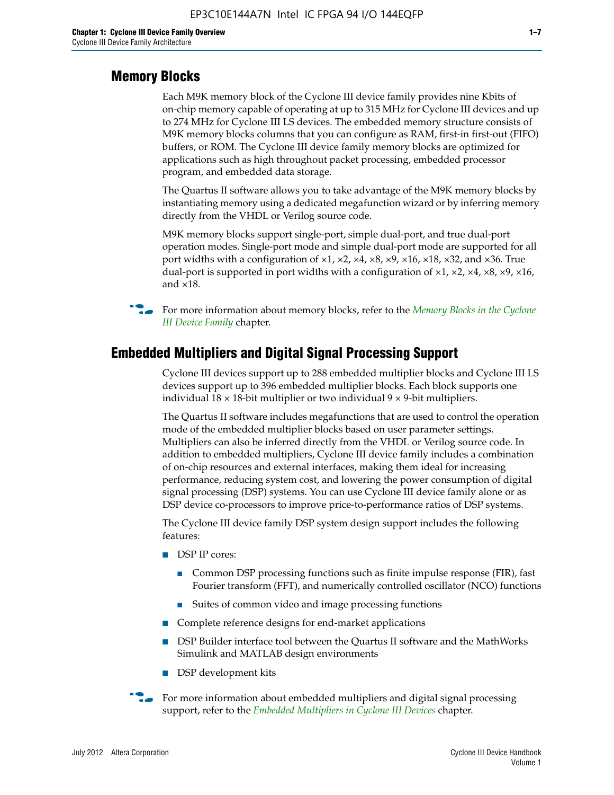#### **Memory Blocks**

Each M9K memory block of the Cyclone III device family provides nine Kbits of on-chip memory capable of operating at up to 315 MHz for Cyclone III devices and up to 274 MHz for Cyclone III LS devices. The embedded memory structure consists of M9K memory blocks columns that you can configure as RAM, first-in first-out (FIFO) buffers, or ROM. The Cyclone III device family memory blocks are optimized for applications such as high throughout packet processing, embedded processor program, and embedded data storage.

The Quartus II software allows you to take advantage of the M9K memory blocks by instantiating memory using a dedicated megafunction wizard or by inferring memory directly from the VHDL or Verilog source code.

M9K memory blocks support single-port, simple dual-port, and true dual-port operation modes. Single-port mode and simple dual-port mode are supported for all port widths with a configuration of  $\times1$ ,  $\times2$ ,  $\times4$ ,  $\times8$ ,  $\times9$ ,  $\times16$ ,  $\times18$ ,  $\times32$ , and  $\times36$ . True dual-port is supported in port widths with a configuration of  $\times$ 1,  $\times$ 2,  $\times$ 4,  $\times$ 8,  $\times$ 9,  $\times$ 16, and ×18.



**For more information about memory blocks, refer to the** *Memory Blocks in the Cyclone [III Device Family](http://www.altera.com/literature/hb/cyc3/cyc3_ciii51004.pdf)* chapter.

#### **Embedded Multipliers and Digital Signal Processing Support**

Cyclone III devices support up to 288 embedded multiplier blocks and Cyclone III LS devices support up to 396 embedded multiplier blocks. Each block supports one individual  $18 \times 18$ -bit multiplier or two individual  $9 \times 9$ -bit multipliers.

The Quartus II software includes megafunctions that are used to control the operation mode of the embedded multiplier blocks based on user parameter settings. Multipliers can also be inferred directly from the VHDL or Verilog source code. In addition to embedded multipliers, Cyclone III device family includes a combination of on-chip resources and external interfaces, making them ideal for increasing performance, reducing system cost, and lowering the power consumption of digital signal processing (DSP) systems. You can use Cyclone III device family alone or as DSP device co-processors to improve price-to-performance ratios of DSP systems.

The Cyclone III device family DSP system design support includes the following features:

- DSP IP cores:
	- Common DSP processing functions such as finite impulse response (FIR), fast Fourier transform (FFT), and numerically controlled oscillator (NCO) functions
	- Suites of common video and image processing functions
- Complete reference designs for end-market applications
- DSP Builder interface tool between the Quartus II software and the MathWorks Simulink and MATLAB design environments
- DSP development kits
- For more information about embedded multipliers and digital signal processing support, refer to the *[Embedded Multipliers in Cyclone III Devices](http://www.altera.com/literature/hb/cyc3/cyc3_ciii51005.pdf)* chapter.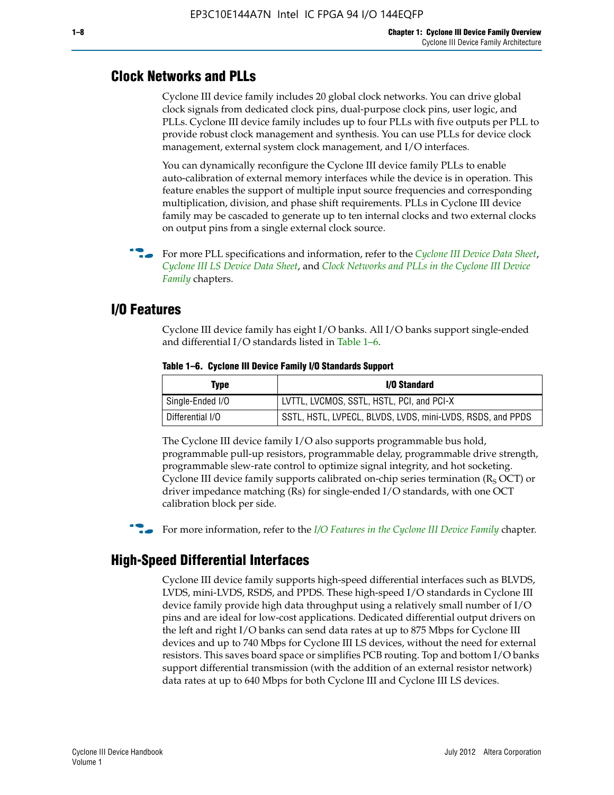#### **Clock Networks and PLLs**

Cyclone III device family includes 20 global clock networks. You can drive global clock signals from dedicated clock pins, dual-purpose clock pins, user logic, and PLLs. Cyclone III device family includes up to four PLLs with five outputs per PLL to provide robust clock management and synthesis. You can use PLLs for device clock management, external system clock management, and I/O interfaces.

You can dynamically reconfigure the Cyclone III device family PLLs to enable auto-calibration of external memory interfaces while the device is in operation. This feature enables the support of multiple input source frequencies and corresponding multiplication, division, and phase shift requirements. PLLs in Cyclone III device family may be cascaded to generate up to ten internal clocks and two external clocks on output pins from a single external clock source.

**For more PLL specifications and information, refer to the** *[Cyclone III Device Data Sheet](http://www.altera.com/literature/hb/cyc3/cyc3_ciii52001.pdf)***,** *[Cyclone III LS Device Data Sheet](http://www.altera.com/literature/hb/cyc3/cyc3_ciii52002.pdf)*, and *[Clock Networks and PLLs in the Cyclone III Device](http://www.altera.com/literature/hb/cyc3/cyc3_ciii51006.pdf)  [Family](http://www.altera.com/literature/hb/cyc3/cyc3_ciii51006.pdf)* chapters.

#### **I/O Features**

Cyclone III device family has eight I/O banks. All I/O banks support single-ended and differential I/O standards listed in Table 1–6.

| Type             | <b>I/O Standard</b>                                        |
|------------------|------------------------------------------------------------|
| Single-Ended I/O | LVTTL, LVCMOS, SSTL, HSTL, PCI, and PCI-X                  |
| Differential I/O | SSTL, HSTL, LVPECL, BLVDS, LVDS, mini-LVDS, RSDS, and PPDS |

**Table 1–6. Cyclone III Device Family I/O Standards Support** 

The Cyclone III device family I/O also supports programmable bus hold, programmable pull-up resistors, programmable delay, programmable drive strength, programmable slew-rate control to optimize signal integrity, and hot socketing. Cyclone III device family supports calibrated on-chip series termination ( $R_S$  OCT) or driver impedance matching (Rs) for single-ended I/O standards, with one OCT calibration block per side.

For more information, refer to the *[I/O Features in the Cyclone III Device Family](http://www.altera.com/literature/hb/cyc3/cyc3_ciii51007.pdf)* chapter.

### **High-Speed Differential Interfaces**

Cyclone III device family supports high-speed differential interfaces such as BLVDS, LVDS, mini-LVDS, RSDS, and PPDS. These high-speed I/O standards in Cyclone III device family provide high data throughput using a relatively small number of I/O pins and are ideal for low-cost applications. Dedicated differential output drivers on the left and right I/O banks can send data rates at up to 875 Mbps for Cyclone III devices and up to 740 Mbps for Cyclone III LS devices, without the need for external resistors. This saves board space or simplifies PCB routing. Top and bottom I/O banks support differential transmission (with the addition of an external resistor network) data rates at up to 640 Mbps for both Cyclone III and Cyclone III LS devices.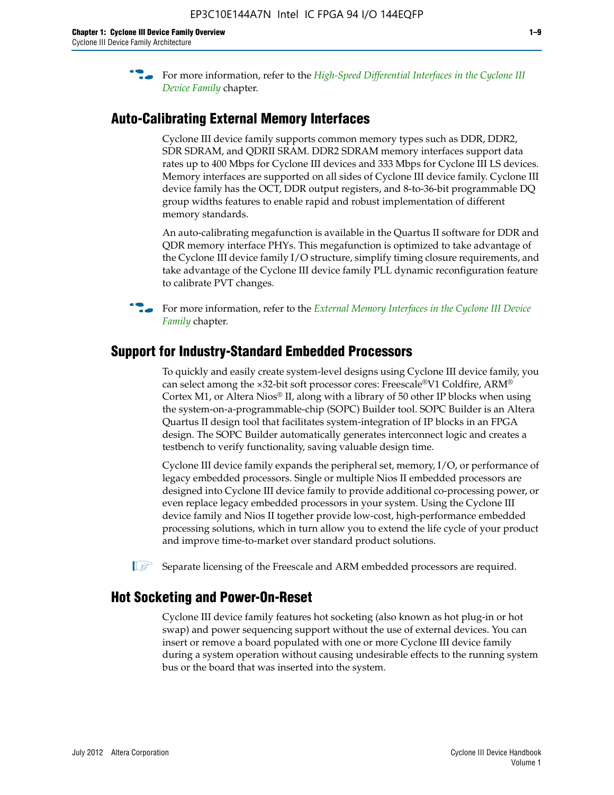**For more information, refer to the** *High-Speed Differential Interfaces in the Cyclone III* $\overline{a}$ *[Device Family](http://www.altera.com/literature/hb/cyc3/cyc3_ciii51008.pdf)* chapter.

#### **Auto-Calibrating External Memory Interfaces**

Cyclone III device family supports common memory types such as DDR, DDR2, SDR SDRAM, and QDRII SRAM. DDR2 SDRAM memory interfaces support data rates up to 400 Mbps for Cyclone III devices and 333 Mbps for Cyclone III LS devices. Memory interfaces are supported on all sides of Cyclone III device family. Cyclone III device family has the OCT, DDR output registers, and 8-to-36-bit programmable DQ group widths features to enable rapid and robust implementation of different memory standards.

An auto-calibrating megafunction is available in the Quartus II software for DDR and QDR memory interface PHYs. This megafunction is optimized to take advantage of the Cyclone III device family I/O structure, simplify timing closure requirements, and take advantage of the Cyclone III device family PLL dynamic reconfiguration feature to calibrate PVT changes.

**For more information, refer to the** *External Memory Interfaces in the Cyclone III Device [Family](http://www.altera.com/literature/hb/cyc3/cyc3_ciii51009.pdf)* chapter.

#### **Support for Industry-Standard Embedded Processors**

To quickly and easily create system-level designs using Cyclone III device family, you can select among the ×32-bit soft processor cores: Freescale®V1 Coldfire, ARM® Cortex M1, or Altera Nios® II, along with a library of 50 other IP blocks when using the system-on-a-programmable-chip (SOPC) Builder tool. SOPC Builder is an Altera Quartus II design tool that facilitates system-integration of IP blocks in an FPGA design. The SOPC Builder automatically generates interconnect logic and creates a testbench to verify functionality, saving valuable design time.

Cyclone III device family expands the peripheral set, memory, I/O, or performance of legacy embedded processors. Single or multiple Nios II embedded processors are designed into Cyclone III device family to provide additional co-processing power, or even replace legacy embedded processors in your system. Using the Cyclone III device family and Nios II together provide low-cost, high-performance embedded processing solutions, which in turn allow you to extend the life cycle of your product and improve time-to-market over standard product solutions.

 $\mathbb{I}$  Separate licensing of the Freescale and ARM embedded processors are required.

#### **Hot Socketing and Power-On-Reset**

Cyclone III device family features hot socketing (also known as hot plug-in or hot swap) and power sequencing support without the use of external devices. You can insert or remove a board populated with one or more Cyclone III device family during a system operation without causing undesirable effects to the running system bus or the board that was inserted into the system.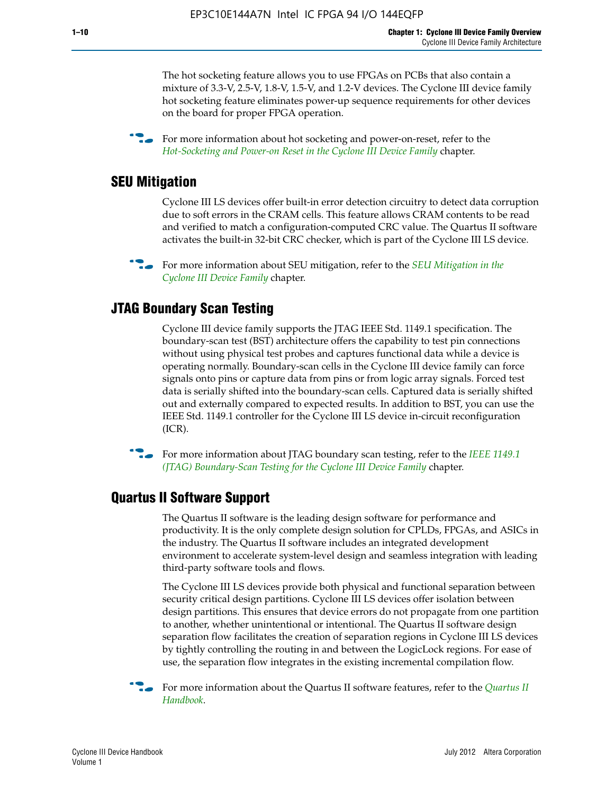The hot socketing feature allows you to use FPGAs on PCBs that also contain a mixture of 3.3-V, 2.5-V, 1.8-V, 1.5-V, and 1.2-V devices. The Cyclone III device family hot socketing feature eliminates power-up sequence requirements for other devices on the board for proper FPGA operation.

For more information about hot socketing and power-on-reset, refer to the *[Hot-Socketing and Power-on Reset in the Cyclone III Device Family](http://www.altera.com/literature/hb/cyc3/cyc3_ciii51011.pdf)* chapter.

#### **SEU Mitigation**

Cyclone III LS devices offer built-in error detection circuitry to detect data corruption due to soft errors in the CRAM cells. This feature allows CRAM contents to be read and verified to match a configuration-computed CRC value. The Quartus II software activates the built-in 32-bit CRC checker, which is part of the Cyclone III LS device.

**For more information about SEU mitigation, refer to the** *SEU Mitigation in the [Cyclone III Device Family](http://www.altera.com/literature/hb/cyc3/cyc3_ciii51013.pdf)* chapter.

#### **JTAG Boundary Scan Testing**

Cyclone III device family supports the JTAG IEEE Std. 1149.1 specification. The boundary-scan test (BST) architecture offers the capability to test pin connections without using physical test probes and captures functional data while a device is operating normally. Boundary-scan cells in the Cyclone III device family can force signals onto pins or capture data from pins or from logic array signals. Forced test data is serially shifted into the boundary-scan cells. Captured data is serially shifted out and externally compared to expected results. In addition to BST, you can use the IEEE Std. 1149.1 controller for the Cyclone III LS device in-circuit reconfiguration (ICR).

**f f**or more information about JTAG boundary scan testing, refer to the *IEEE* 1149.1 *[\(JTAG\) Boundary-Scan Testing for the Cyclone III Device Family](http://www.altera.com/literature/hb/cyc3/cyc3_ciii51014.pdf)* chapter.

#### **Quartus II Software Support**

The Quartus II software is the leading design software for performance and productivity. It is the only complete design solution for CPLDs, FPGAs, and ASICs in the industry. The Quartus II software includes an integrated development environment to accelerate system-level design and seamless integration with leading third-party software tools and flows.

The Cyclone III LS devices provide both physical and functional separation between security critical design partitions. Cyclone III LS devices offer isolation between design partitions. This ensures that device errors do not propagate from one partition to another, whether unintentional or intentional. The Quartus II software design separation flow facilitates the creation of separation regions in Cyclone III LS devices by tightly controlling the routing in and between the LogicLock regions. For ease of use, the separation flow integrates in the existing incremental compilation flow.

f For more information about the Quartus II software features, refer to the *[Quartus II](http://www.altera.com/literature/hb/qts/quartusii_handbook.pdf)  [Handbook](http://www.altera.com/literature/hb/qts/quartusii_handbook.pdf)*.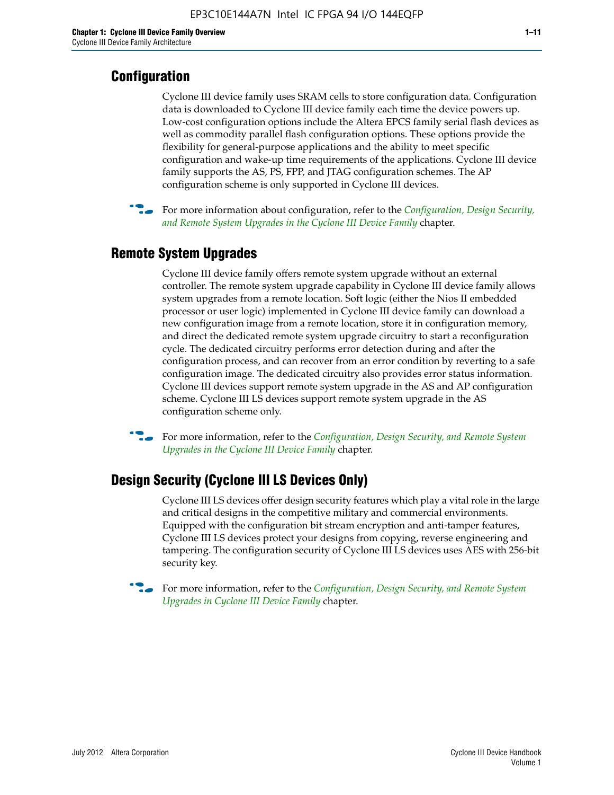#### **Configuration**

Cyclone III device family uses SRAM cells to store configuration data. Configuration data is downloaded to Cyclone III device family each time the device powers up. Low-cost configuration options include the Altera EPCS family serial flash devices as well as commodity parallel flash configuration options. These options provide the flexibility for general-purpose applications and the ability to meet specific configuration and wake-up time requirements of the applications. Cyclone III device family supports the AS, PS, FPP, and JTAG configuration schemes. The AP configuration scheme is only supported in Cyclone III devices.



f For more information about configuration, refer to the *[Configuration, Design Security,](http://www.altera.com/literature/hb/cyc3/cyc3_ciii51016.pdf)  [and Remote System Upgrades in the Cyclone III Device Family](http://www.altera.com/literature/hb/cyc3/cyc3_ciii51016.pdf)* chapter.

#### **Remote System Upgrades**

Cyclone III device family offers remote system upgrade without an external controller. The remote system upgrade capability in Cyclone III device family allows system upgrades from a remote location. Soft logic (either the Nios II embedded processor or user logic) implemented in Cyclone III device family can download a new configuration image from a remote location, store it in configuration memory, and direct the dedicated remote system upgrade circuitry to start a reconfiguration cycle. The dedicated circuitry performs error detection during and after the configuration process, and can recover from an error condition by reverting to a safe configuration image. The dedicated circuitry also provides error status information. Cyclone III devices support remote system upgrade in the AS and AP configuration scheme. Cyclone III LS devices support remote system upgrade in the AS configuration scheme only.

**For more information, refer to the** *Configuration, Design Security, and Remote System [Upgrades in the Cyclone III Device Family](http://www.altera.com/literature/hb/cyc3/cyc3_ciii51016.pdf)* chapter.

#### **Design Security (Cyclone III LS Devices Only)**

Cyclone III LS devices offer design security features which play a vital role in the large and critical designs in the competitive military and commercial environments. Equipped with the configuration bit stream encryption and anti-tamper features, Cyclone III LS devices protect your designs from copying, reverse engineering and tampering. The configuration security of Cyclone III LS devices uses AES with 256-bit security key.

f For more information, refer to the *[Configuration, Design Security, and Remote System](http://www.altera.com/literature/hb/cyc3/cyc3_ciii51016.pdf)  [Upgrades in Cyclone III Device Family](http://www.altera.com/literature/hb/cyc3/cyc3_ciii51016.pdf)* chapter.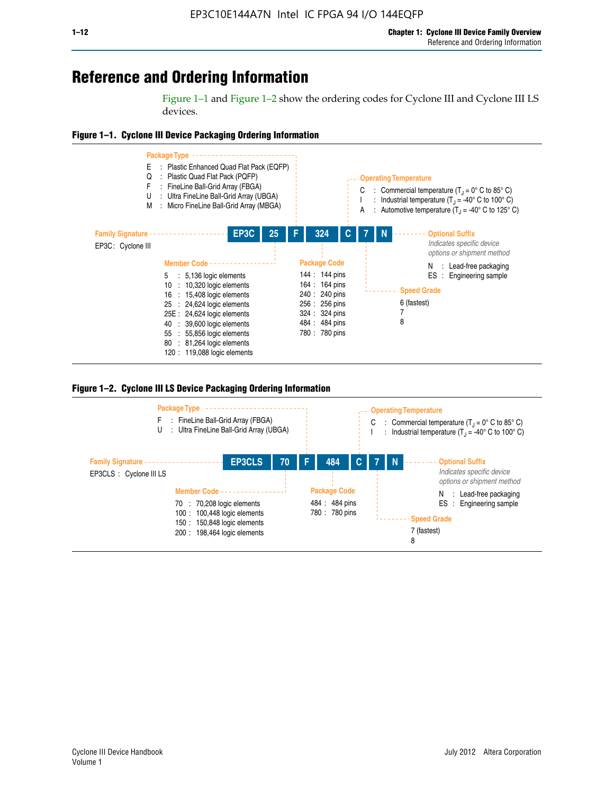## **Reference and Ordering Information**

Figure 1–1 and Figure 1–2 show the ordering codes for Cyclone III and Cyclone III LS devices.







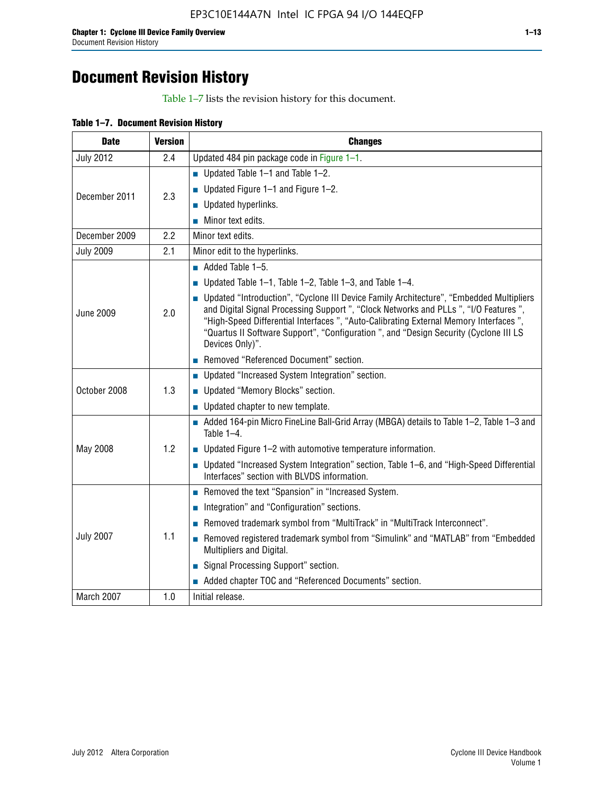## **Document Revision History**

Table 1–7 lists the revision history for this document.

| Table 1-7. Document Revision History |  |  |  |  |
|--------------------------------------|--|--|--|--|
|--------------------------------------|--|--|--|--|

| <b>Date</b>      | <b>Version</b> | <b>Changes</b>                                                                                                                                                                                                                                                                                                                                                                          |
|------------------|----------------|-----------------------------------------------------------------------------------------------------------------------------------------------------------------------------------------------------------------------------------------------------------------------------------------------------------------------------------------------------------------------------------------|
| <b>July 2012</b> | 2.4            | Updated 484 pin package code in Figure 1-1.                                                                                                                                                                                                                                                                                                                                             |
|                  |                | Updated Table $1-1$ and Table $1-2$ .                                                                                                                                                                                                                                                                                                                                                   |
| December 2011    | 2.3            | ■ Updated Figure $1-1$ and Figure $1-2$ .                                                                                                                                                                                                                                                                                                                                               |
|                  |                | <b>Updated hyperlinks.</b>                                                                                                                                                                                                                                                                                                                                                              |
|                  |                | $\blacksquare$ Minor text edits.                                                                                                                                                                                                                                                                                                                                                        |
| December 2009    | 2.2            | Minor text edits.                                                                                                                                                                                                                                                                                                                                                                       |
| <b>July 2009</b> | 2.1            | Minor edit to the hyperlinks.                                                                                                                                                                                                                                                                                                                                                           |
|                  |                | $\blacksquare$ Added Table 1-5.                                                                                                                                                                                                                                                                                                                                                         |
|                  |                | ■ Updated Table 1–1, Table 1–2, Table 1–3, and Table 1–4.                                                                                                                                                                                                                                                                                                                               |
| <b>June 2009</b> | 2.0            | • Updated "Introduction", "Cyclone III Device Family Architecture", "Embedded Multipliers<br>and Digital Signal Processing Support ", "Clock Networks and PLLs ", "I/O Features ",<br>"High-Speed Differential Interfaces ", "Auto-Calibrating External Memory Interfaces",<br>"Quartus II Software Support", "Configuration ", and "Design Security (Cyclone III LS<br>Devices Only)". |
|                  |                | Removed "Referenced Document" section.                                                                                                                                                                                                                                                                                                                                                  |
|                  |                | • Updated "Increased System Integration" section.                                                                                                                                                                                                                                                                                                                                       |
| October 2008     | 1.3            | Updated "Memory Blocks" section.                                                                                                                                                                                                                                                                                                                                                        |
|                  |                | • Updated chapter to new template.                                                                                                                                                                                                                                                                                                                                                      |
|                  |                | Added 164-pin Micro FineLine Ball-Grid Array (MBGA) details to Table 1-2, Table 1-3 and<br>Table $1-4$ .                                                                                                                                                                                                                                                                                |
| May 2008         | 1.2            | $\blacksquare$ Updated Figure 1-2 with automotive temperature information.                                                                                                                                                                                                                                                                                                              |
|                  |                | • Updated "Increased System Integration" section, Table 1-6, and "High-Speed Differential<br>Interfaces" section with BLVDS information.                                                                                                                                                                                                                                                |
|                  |                | Removed the text "Spansion" in "Increased System.                                                                                                                                                                                                                                                                                                                                       |
|                  |                | Integration" and "Configuration" sections.                                                                                                                                                                                                                                                                                                                                              |
|                  |                | Removed trademark symbol from "MultiTrack" in "MultiTrack Interconnect".                                                                                                                                                                                                                                                                                                                |
| <b>July 2007</b> | 1.1            | Removed registered trademark symbol from "Simulink" and "MATLAB" from "Embedded<br>Multipliers and Digital.                                                                                                                                                                                                                                                                             |
|                  |                | Signal Processing Support" section.                                                                                                                                                                                                                                                                                                                                                     |
|                  |                | Added chapter TOC and "Referenced Documents" section.                                                                                                                                                                                                                                                                                                                                   |
| March 2007       | 1.0            | Initial release.                                                                                                                                                                                                                                                                                                                                                                        |